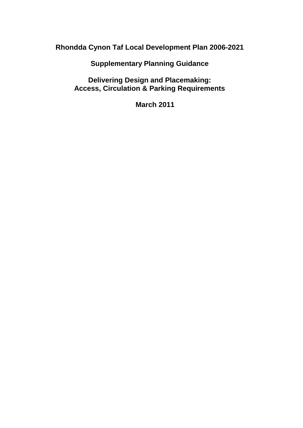**Rhondda Cynon Taf Local Development Plan 2006-2021**

**Supplementary Planning Guidance**

**Delivering Design and Placemaking: Access, Circulation & Parking Requirements**

**March 2011**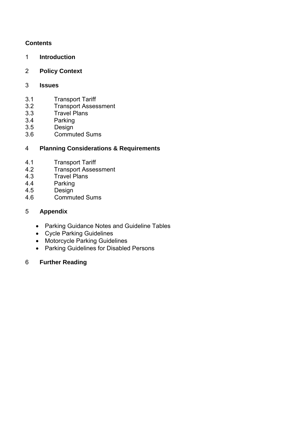# **Contents**

- 1 **Introduction**
- 2 **Policy Context**

# 3 **Issues**

- 3.1 Transport Tariff
- 3.2 Transport Assessment
- 3.3 Travel Plans
- 3.4 Parking
- 3.5 Design
- 3.6 Commuted Sums

# 4 **Planning Considerations & Requirements**

- 4.1 Transport Tariff
- 4.2 Transport Assessment<br>4.3 Travel Plans
- Travel Plans
- 4.4 Parking
- 4.5 Design
- 4.6 Commuted Sums

# 5 **Appendix**

- Parking Guidance Notes and Guideline Tables
- Cycle Parking Guidelines
- Motorcycle Parking Guidelines
- Parking Guidelines for Disabled Persons

# 6 **Further Reading**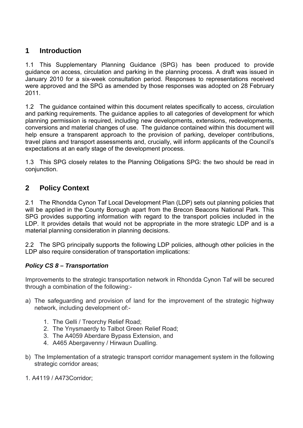# **1 Introduction**

1.1 This Supplementary Planning Guidance (SPG) has been produced to provide guidance on access, circulation and parking in the planning process. A draft was issued in January 2010 for a six-week consultation period. Responses to representations received were approved and the SPG as amended by those responses was adopted on 28 February 2011.

1.2 The guidance contained within this document relates specifically to access, circulation and parking requirements. The guidance applies to all categories of development for which planning permission is required, including new developments, extensions, redevelopments, conversions and material changes of use. The guidance contained within this document will help ensure a transparent approach to the provision of parking, developer contributions, travel plans and transport assessments and, crucially, will inform applicants of the Council's expectations at an early stage of the development process.

1.3 This SPG closely relates to the Planning Obligations SPG: the two should be read in conjunction.

# **2 Policy Context**

2.1 The Rhondda Cynon Taf Local Development Plan (LDP) sets out planning policies that will be applied in the County Borough apart from the Brecon Beacons National Park. This SPG provides supporting information with regard to the transport policies included in the LDP. It provides details that would not be appropriate in the more strategic LDP and is a material planning consideration in planning decisions.

2.2 The SPG principally supports the following LDP policies, although other policies in the LDP also require consideration of transportation implications:

# *Policy CS 8 – Transportation*

Improvements to the strategic transportation network in Rhondda Cynon Taf will be secured through a combination of the following:-

- a) The safeguarding and provision of land for the improvement of the strategic highway network, including development of:-
	- 1. The Gelli / Treorchy Relief Road;
	- 2. The Ynysmaerdy to Talbot Green Relief Road;
	- 3. The A4059 Aberdare Bypass Extension, and
	- 4. A465 Abergavenny / Hirwaun Dualling.
- b) The Implementation of a strategic transport corridor management system in the following strategic corridor areas;
- 1. A4119 / A473Corridor;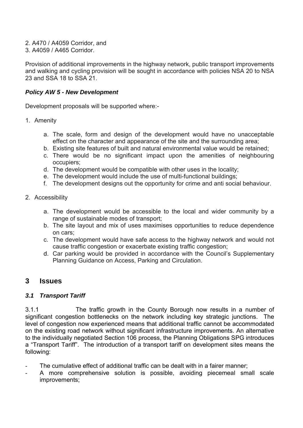- 2. A470 / A4059 Corridor, and
- 3. A4059 / A465 Corridor.

Provision of additional improvements in the highway network, public transport improvements and walking and cycling provision will be sought in accordance with policies NSA 20 to NSA 23 and SSA 18 to SSA 21.

#### *Policy AW 5 - New Development*

Development proposals will be supported where:-

- 1. Amenity
	- a. The scale, form and design of the development would have no unacceptable effect on the character and appearance of the site and the surrounding area;
	- b. Existing site features of built and natural environmental value would be retained;
	- c. There would be no significant impact upon the amenities of neighbouring occupiers;
	- d. The development would be compatible with other uses in the locality;
	- e. The development would include the use of multi-functional buildings;
	- f. The development designs out the opportunity for crime and anti social behaviour.
- 2. Accessibility
	- a. The development would be accessible to the local and wider community by a range of sustainable modes of transport;
	- b. The site layout and mix of uses maximises opportunities to reduce dependence on cars;
	- c. The development would have safe access to the highway network and would not cause traffic congestion or exacerbate existing traffic congestion;
	- d. Car parking would be provided in accordance with the Council's Supplementary Planning Guidance on Access, Parking and Circulation.

# **3 Issues**

#### *3.1 Transport Tariff*

3.1.1 The traffic growth in the County Borough now results in a number of significant congestion bottlenecks on the network including key strategic junctions. The level of congestion now experienced means that additional traffic cannot be accommodated on the existing road network without significant infrastructure improvements. An alternative to the individually negotiated Section 106 process, the Planning Obligations SPG introduces a "Transport Tariff". The introduction of a transport tariff on development sites means the following:

- The cumulative effect of additional traffic can be dealt with in a fairer manner;
- A more comprehensive solution is possible, avoiding piecemeal small scale improvements;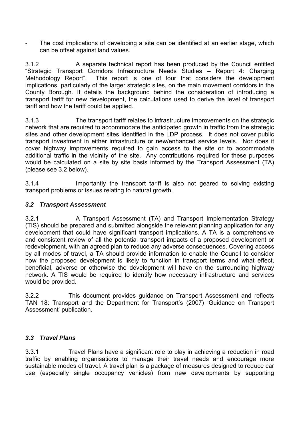The cost implications of developing a site can be identified at an earlier stage, which can be offset against land values.

3.1.2 A separate technical report has been produced by the Council entitled "Strategic Transport Corridors Infrastructure Needs Studies – Report 4: Charging Methodology Report". This report is one of four that considers the development implications, particularly of the larger strategic sites, on the main movement corridors in the County Borough. It details the background behind the consideration of introducing a transport tariff for new development, the calculations used to derive the level of transport tariff and how the tariff could be applied.

3.1.3 The transport tariff relates to infrastructure improvements on the strategic network that are required to accommodate the anticipated growth in traffic from the strategic sites and other development sites identified in the LDP process. It does not cover public transport investment in either infrastructure or new/enhanced service levels. Nor does it cover highway improvements required to gain access to the site or to accommodate additional traffic in the vicinity of the site. Any contributions required for these purposes would be calculated on a site by site basis informed by the Transport Assessment (TA) (please see 3.2 below).

3.1.4 Importantly the transport tariff is also not geared to solving existing transport problems or issues relating to natural growth.

# *3.2 Transport Assessment*

3.2.1 A Transport Assessment (TA) and Transport Implementation Strategy (TIS) should be prepared and submitted alongside the relevant planning application for any development that could have significant transport implications. A TA is a comprehensive and consistent review of all the potential transport impacts of a proposed development or redevelopment, with an agreed plan to reduce any adverse consequences. Covering access by all modes of travel, a TA should provide information to enable the Council to consider how the proposed development is likely to function in transport terms and what effect, beneficial, adverse or otherwise the development will have on the surrounding highway network. A TIS would be required to identify how necessary infrastructure and services would be provided.

3.2.2 This document provides guidance on Transport Assessment and reflects TAN 18: Transport and the Department for Transport's (2007) 'Guidance on Transport Assessment' publication.

## *3.3 Travel Plans*

3.3.1 Travel Plans have a significant role to play in achieving a reduction in road traffic by enabling organisations to manage their travel needs and encourage more sustainable modes of travel. A travel plan is a package of measures designed to reduce car use (especially single occupancy vehicles) from new developments by supporting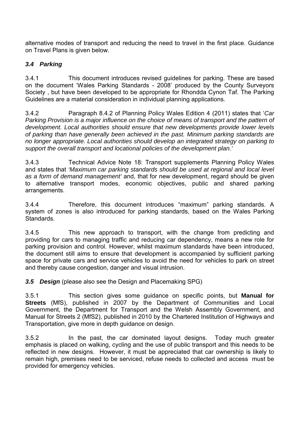alternative modes of transport and reducing the need to travel in the first place. Guidance on Travel Plans is given below.

# *3.4 Parking*

3.4.1 This document introduces revised guidelines for parking. These are based on the document 'Wales Parking Standards - 2008' produced by the County Surveyors Society , but have been developed to be appropriate for Rhondda Cynon Taf. The Parking Guidelines are a material consideration in individual planning applications.

3.4.2 Paragraph 8.4.2 of Planning Policy Wales Edition 4 (2011) states that '*Car Parking Provision is a major influence on the choice of means of transport and the pattern of development. Local authorities should ensure that new developments provide lower levels of parking than have generally been achieved in the past. Minimum parking standards are no longer appropriate. Local authorities should develop an integrated strategy on parking to support the overall transport and locational policies of the development plan.'*

3.4.3 Technical Advice Note 18: Transport supplements Planning Policy Wales and states that *'Maximum car parking standards should be used at regional and local level as a form of demand management'* and, that for new development, regard should be given to alternative transport modes, economic objectives, public and shared parking arrangements.

3.4.4 Therefore, this document introduces "maximum" parking standards. A system of zones is also introduced for parking standards, based on the Wales Parking Standards.

3.4.5 This new approach to transport, with the change from predicting and providing for cars to managing traffic and reducing car dependency, means a new role for parking provision and control. However, whilst maximum standards have been introduced, the document still aims to ensure that development is accompanied by sufficient parking space for private cars and service vehicles to avoid the need for vehicles to park on street and thereby cause congestion, danger and visual intrusion.

**3.5 Design** (please also see the Design and Placemaking SPG)

3.5.1 This section gives some guidance on specific points, but **Manual for Streets** (MfS), published in 2007 by the Department of Communities and Local Government, the Department for Transport and the Welsh Assembly Government, and Manual for Streets 2 (MfS2), published in 2010 by the Chartered Institution of Highways and Transportation, give more in depth guidance on design.

3.5.2 In the past, the car dominated layout designs. Today much greater emphasis is placed on walking, cycling and the use of public transport and this needs to be reflected in new designs. However, it must be appreciated that car ownership is likely to remain high, premises need to be serviced, refuse needs to collected and access must be provided for emergency vehicles.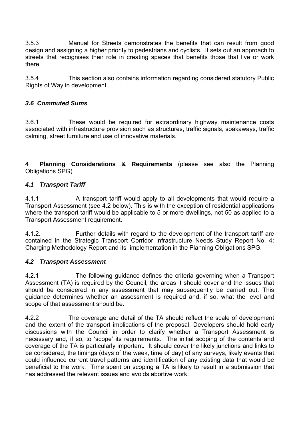3.5.3 Manual for Streets demonstrates the benefits that can result from good design and assigning a higher priority to pedestrians and cyclists. It sets out an approach to streets that recognises their role in creating spaces that benefits those that live or work there.

3.5.4 This section also contains information regarding considered statutory Public Rights of Way in development.

# *3.6 Commuted Sums*

3.6.1 These would be required for extraordinary highway maintenance costs associated with infrastructure provision such as structures, traffic signals, soakaways, traffic calming, street furniture and use of innovative materials.

**4 Planning Considerations & Requirements** (please see also the Planning Obligations SPG)

## *4.1 Transport Tariff*

4.1.1 A transport tariff would apply to all developments that would require a Transport Assessment (see 4.2 below). This is with the exception of residential applications where the transport tariff would be applicable to 5 or more dwellings, not 50 as applied to a Transport Assessment requirement.

4.1.2. Further details with regard to the development of the transport tariff are contained in the Strategic Transport Corridor Infrastructure Needs Study Report No. 4: Charging Methodology Report and its implementation in the Planning Obligations SPG.

#### *4.2 Transport Assessment*

4.2.1 The following guidance defines the criteria governing when a Transport Assessment (TA) is required by the Council, the areas it should cover and the issues that should be considered in any assessment that may subsequently be carried out. This guidance determines whether an assessment is required and, if so, what the level and scope of that assessment should be.

4.2.2 The coverage and detail of the TA should reflect the scale of development and the extent of the transport implications of the proposal. Developers should hold early discussions with the Council in order to clarify whether a Transport Assessment is necessary and, if so, to 'scope' its requirements. The initial scoping of the contents and coverage of the TA is particularly important. It should cover the likely junctions and links to be considered, the timings (days of the week, time of day) of any surveys, likely events that could influence current travel patterns and identification of any existing data that would be beneficial to the work. Time spent on scoping a TA is likely to result in a submission that has addressed the relevant issues and avoids abortive work.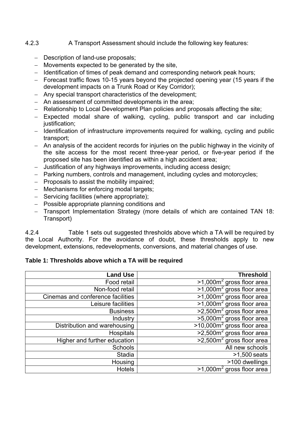## 4.2.3 A Transport Assessment should include the following key features:

- Description of land-use proposals;
- Movements expected to be generated by the site,
- Identification of times of peak demand and corresponding network peak hours;
- Forecast traffic flows 10-15 years beyond the projected opening year (15 years if the development impacts on a Trunk Road or Key Corridor);
- Any special transport characteristics of the development;
- An assessment of committed developments in the area;
- Relationship to Local Development Plan policies and proposals affecting the site;
- Expected modal share of walking, cycling, public transport and car including justification;
- Identification of infrastructure improvements required for walking, cycling and public transport;
- An analysis of the accident records for injuries on the public highway in the vicinity of the site access for the most recent three-year period, or five-year period if the proposed site has been identified as within a high accident area;
- Justification of any highways improvements, including access design;
- Parking numbers, controls and management, including cycles and motorcycles;
- $-$  Proposals to assist the mobility impaired;
- Mechanisms for enforcing modal targets;
- Servicing facilities (where appropriate);
- Possible appropriate planning conditions and
- Transport Implementation Strategy (more details of which are contained TAN 18: Transport)

4.2.4 Table 1 sets out suggested thresholds above which a TA will be required by the Local Authority. For the avoidance of doubt, these thresholds apply to new development, extensions, redevelopments, conversions, and material changes of use.

## **Table 1: Thresholds above which a TA will be required**

| <b>Land Use</b>                   | <b>Threshold</b>                                 |
|-----------------------------------|--------------------------------------------------|
| Food retail                       | $>1,000$ m <sup>2</sup> gross floor area         |
| Non-food retail                   | $>1,000m2$ gross floor area                      |
| Cinemas and conference facilities | $>1,000$ m <sup>2</sup> gross floor area         |
| Leisure facilities                | $>1,000m2$ gross floor area                      |
| <b>Business</b>                   | $\sqrt{2,500m^2}$ gross floor area               |
| Industry                          | $\frac{1}{50000}$ $\frac{1}{2}$ gross floor area |
| Distribution and warehousing      | >10.000m <sup>2</sup> gross floor area           |
| <b>Hospitals</b>                  | $>2,500m2$ gross floor area                      |
| Higher and further education      | $>2,500m2$ gross floor area                      |
| <b>Schools</b>                    | All new schools                                  |
| Stadia                            | $>1,500$ seats                                   |
| Housing                           | >100 dwellings                                   |
| <b>Hotels</b>                     | $>1,000$ m <sup>2</sup> gross floor area         |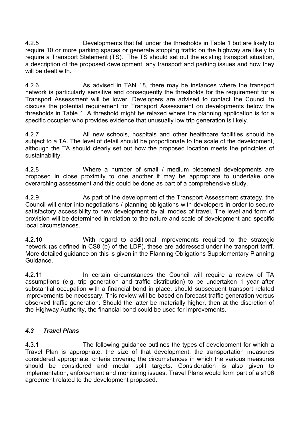4.2.5 Developments that fall under the thresholds in Table 1 but are likely to require 10 or more parking spaces or generate stopping traffic on the highway are likely to require a Transport Statement (TS). The TS should set out the existing transport situation, a description of the proposed development, any transport and parking issues and how they will be dealt with.

4.2.6 As advised in TAN 18, there may be instances where the transport network is particularly sensitive and consequently the thresholds for the requirement for a Transport Assessment will be lower. Developers are advised to contact the Council to discuss the potential requirement for Transport Assessment on developments below the thresholds in Table 1. A threshold might be relaxed where the planning application is for a specific occupier who provides evidence that unusually low trip generation is likely.

4.2.7 All new schools, hospitals and other healthcare facilities should be subject to a TA. The level of detail should be proportionate to the scale of the development, although the TA should clearly set out how the proposed location meets the principles of sustainability.

4.2.8 Where a number of small / medium piecemeal developments are proposed in close proximity to one another it may be appropriate to undertake one overarching assessment and this could be done as part of a comprehensive study.

4.2.9 As part of the development of the Transport Assessment strategy, the Council will enter into negotiations / planning obligations with developers in order to secure satisfactory accessibility to new development by all modes of travel. The level and form of provision will be determined in relation to the nature and scale of development and specific local circumstances.

4.2.10 With regard to additional improvements required to the strategic network (as defined in CS8 (b) of the LDP), these are addressed under the transport tariff. More detailed guidance on this is given in the Planning Obligations Supplementary Planning Guidance.

4.2.11 **In certain circumstances the Council will require a review of TA** assumptions (e.g. trip generation and traffic distribution) to be undertaken 1 year after substantial occupation with a financial bond in place, should subsequent transport related improvements be necessary. This review will be based on forecast traffic generation versus observed traffic generation. Should the latter be materially higher, then at the discretion of the Highway Authority, the financial bond could be used for improvements.

## *4.3 Travel Plans*

4.3.1 The following guidance outlines the types of development for which a Travel Plan is appropriate, the size of that development, the transportation measures considered appropriate, criteria covering the circumstances in which the various measures should be considered and modal split targets. Consideration is also given to implementation, enforcement and monitoring issues. Travel Plans would form part of a s106 agreement related to the development proposed.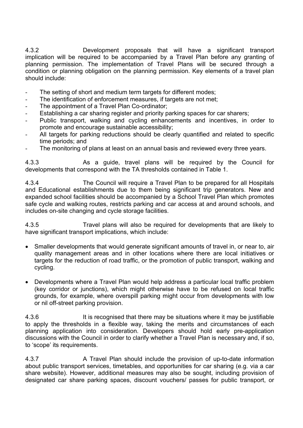4.3.2 Development proposals that will have a significant transport implication will be required to be accompanied by a Travel Plan before any granting of planning permission. The implementation of Travel Plans will be secured through a condition or planning obligation on the planning permission. Key elements of a travel plan should include:

- The setting of short and medium term targets for different modes:
- The identification of enforcement measures, if targets are not met;
- The appointment of a Travel Plan Co-ordinator;
- Establishing a car sharing register and priority parking spaces for car sharers;
- Public transport, walking and cycling enhancements and incentives, in order to promote and encourage sustainable accessibility;
- All targets for parking reductions should be clearly quantified and related to specific time periods; and
- The monitoring of plans at least on an annual basis and reviewed every three years.

4.3.3 As a guide, travel plans will be required by the Council for developments that correspond with the TA thresholds contained in Table 1.

4.3.4 The Council will require a Travel Plan to be prepared for all Hospitals and Educational establishments due to them being significant trip generators. New and expanded school facilities should be accompanied by a School Travel Plan which promotes safe cycle and walking routes, restricts parking and car access at and around schools, and includes on-site changing and cycle storage facilities.

4.3.5 Travel plans will also be required for developments that are likely to have significant transport implications, which include:

- Smaller developments that would generate significant amounts of travel in, or near to, air quality management areas and in other locations where there are local initiatives or targets for the reduction of road traffic, or the promotion of public transport, walking and cycling.
- Developments where a Travel Plan would help address a particular local traffic problem (key corridor or junctions), which might otherwise have to be refused on local traffic grounds, for example, where overspill parking might occur from developments with low or nil off-street parking provision.

4.3.6 It is recognised that there may be situations where it may be justifiable to apply the thresholds in a flexible way, taking the merits and circumstances of each planning application into consideration. Developers should hold early pre-application discussions with the Council in order to clarify whether a Travel Plan is necessary and, if so, to 'scope' its requirements.

4.3.7 A Travel Plan should include the provision of up-to-date information about public transport services, timetables, and opportunities for car sharing (e.g. via a car share website). However, additional measures may also be sought, including provision of designated car share parking spaces, discount vouchers/ passes for public transport, or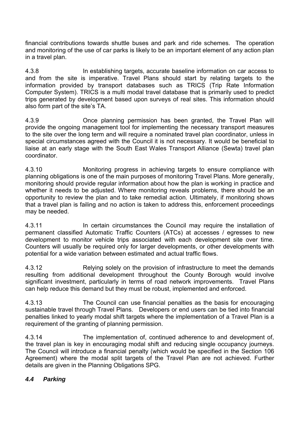financial contributions towards shuttle buses and park and ride schemes. The operation and monitoring of the use of car parks is likely to be an important element of any action plan in a travel plan.

4.3.8 In establishing targets, accurate baseline information on car access to and from the site is imperative. Travel Plans should start by relating targets to the information provided by transport databases such as TRICS (Trip Rate Information Computer System). TRICS is a multi modal travel database that is primarily used to predict trips generated by development based upon surveys of real sites. This information should also form part of the site's TA.

4.3.9 Once planning permission has been granted, the Travel Plan will provide the ongoing management tool for implementing the necessary transport measures to the site over the long term and will require a nominated travel plan coordinator, unless in special circumstances agreed with the Council it is not necessary. It would be beneficial to liaise at an early stage with the South East Wales Transport Alliance (Sewta) travel plan coordinator.

4.3.10 Monitoring progress in achieving targets to ensure compliance with planning obligations is one of the main purposes of monitoring Travel Plans. More generally, monitoring should provide regular information about how the plan is working in practice and whether it needs to be adjusted. Where monitoring reveals problems, there should be an opportunity to review the plan and to take remedial action. Ultimately, if monitoring shows that a travel plan is failing and no action is taken to address this, enforcement proceedings may be needed.

4.3.11 In certain circumstances the Council may require the installation of permanent classified Automatic Traffic Counters (ATCs) at accesses / egresses to new development to monitor vehicle trips associated with each development site over time. Counters will usually be required only for larger developments, or other developments with potential for a wide variation between estimated and actual traffic flows.

4.3.12 Relying solely on the provision of infrastructure to meet the demands resulting from additional development throughout the County Borough would involve significant investment, particularly in terms of road network improvements. Travel Plans can help reduce this demand but they must be robust, implemented and enforced.

4.3.13 The Council can use financial penalties as the basis for encouraging sustainable travel through Travel Plans. Developers or end users can be tied into financial penalties linked to yearly modal shift targets where the implementation of a Travel Plan is a requirement of the granting of planning permission.

4.3.14 The implementation of, continued adherence to and development of, the travel plan is key in encouraging modal shift and reducing single occupancy journeys. The Council will introduce a financial penalty (which would be specified in the Section 106 Agreement) where the modal split targets of the Travel Plan are not achieved. Further details are given in the Planning Obligations SPG.

## *4.4 Parking*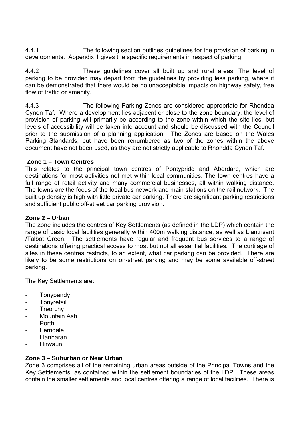4.4.1 The following section outlines guidelines for the provision of parking in developments. Appendix 1 gives the specific requirements in respect of parking.

4.4.2 These guidelines cover all built up and rural areas. The level of parking to be provided may depart from the guidelines by providing less parking, where it can be demonstrated that there would be no unacceptable impacts on highway safety, free flow of traffic or amenity.

4.4.3 The following Parking Zones are considered appropriate for Rhondda Cynon Taf. Where a development lies adjacent or close to the zone boundary, the level of provision of parking will primarily be according to the zone within which the site lies, but levels of accessibility will be taken into account and should be discussed with the Council prior to the submission of a planning application. The Zones are based on the Wales Parking Standards, but have been renumbered as two of the zones within the above document have not been used, as they are not strictly applicable to Rhondda Cynon Taf.

### **Zone 1 – Town Centres**

This relates to the principal town centres of Pontypridd and Aberdare, which are destinations for most activities not met within local communities. The town centres have a full range of retail activity and many commercial businesses, all within walking distance. The towns are the focus of the local bus network and main stations on the rail network. The built up density is high with little private car parking. There are significant parking restrictions and sufficient public off-street car parking provision.

#### **Zone 2 – Urban**

The zone includes the centres of Key Settlements (as defined in the LDP) which contain the range of basic local facilities generally within 400m walking distance, as well as Llantrisant /Talbot Green. The settlements have regular and frequent bus services to a range of destinations offering practical access to most but not all essential facilities. The curtilage of sites in these centres restricts, to an extent, what car parking can be provided. There are likely to be some restrictions on on-street parking and may be some available off-street parking.

The Key Settlements are:

- Tonypandy
- **Tonyrefail**
- **Treorchy**
- Mountain Ash
- Porth
- Ferndale
- Llanharan
- Hirwaun

#### **Zone 3 – Suburban or Near Urban**

Zone 3 comprises all of the remaining urban areas outside of the Principal Towns and the Key Settlements, as contained within the settlement boundaries of the LDP. These areas contain the smaller settlements and local centres offering a range of local facilities. There is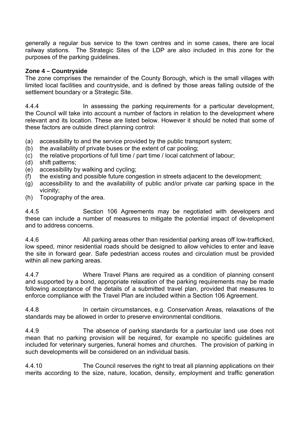generally a regular bus service to the town centres and in some cases, there are local railway stations. The Strategic Sites of the LDP are also included in this zone for the purposes of the parking guidelines.

## **Zone 4 – Countryside**

The zone comprises the remainder of the County Borough, which is the small villages with limited local facilities and countryside, and is defined by those areas falling outside of the settlement boundary or a Strategic Site.

4.4.4 In assessing the parking requirements for a particular development, the Council will take into account a number of factors in relation to the development where relevant and its location. These are listed below. However it should be noted that some of these factors are outside direct planning control:

- (a) accessibility to and the service provided by the public transport system;
- (b) the availability of private buses or the extent of car pooling;
- (c) the relative proportions of full time / part time / local catchment of labour;
- (d) shift patterns;
- (e) accessibility by walking and cycling;
- (f) the existing and possible future congestion in streets adjacent to the development;
- (g) accessibility to and the availability of public and/or private car parking space in the vicinity;
- (h) Topography of the area.

4.4.5 Section 106 Agreements may be negotiated with developers and these can include a number of measures to mitigate the potential impact of development and to address concerns.

4.4.6 All parking areas other than residential parking areas off low-trafficked, low speed, minor residential roads should be designed to allow vehicles to enter and leave the site in forward gear. Safe pedestrian access routes and circulation must be provided within all new parking areas.

4.4.7 Where Travel Plans are required as a condition of planning consent and supported by a bond, appropriate relaxation of the parking requirements may be made following acceptance of the details of a submitted travel plan, provided that measures to enforce compliance with the Travel Plan are included within a Section 106 Agreement.

4.4.8 In certain circumstances, e.g. Conservation Areas, relaxations of the standards may be allowed in order to preserve environmental conditions.

4.4.9 The absence of parking standards for a particular land use does not mean that no parking provision will be required, for example no specific guidelines are included for veterinary surgeries, funeral homes and churches. The provision of parking in such developments will be considered on an individual basis.

4.4.10 The Council reserves the right to treat all planning applications on their merits according to the size, nature, location, density, employment and traffic generation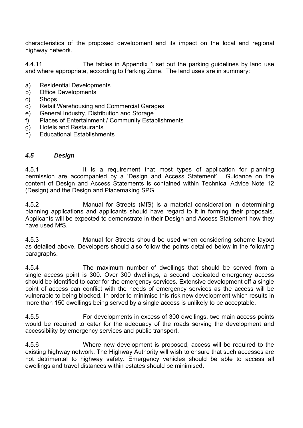characteristics of the proposed development and its impact on the local and regional highway network.

4.4.11 The tables in Appendix 1 set out the parking guidelines by land use and where appropriate, according to Parking Zone. The land uses are in summary:

- a) Residential Developments
- b) Office Developments
- c) Shops
- d) Retail Warehousing and Commercial Garages
- e) General Industry, Distribution and Storage
- f) Places of Entertainment / Community Establishments
- g) Hotels and Restaurants
- h) Educational Establishments

#### *4.5 Design*

4.5.1 It is a requirement that most types of application for planning permission are accompanied by a 'Design and Access Statement'. Guidance on the content of Design and Access Statements is contained within Technical Advice Note 12 (Design) and the Design and Placemaking SPG.

4.5.2 Manual for Streets (MfS) is a material consideration in determining planning applications and applicants should have regard to it in forming their proposals. Applicants will be expected to demonstrate in their Design and Access Statement how they have used MfS.

4.5.3 Manual for Streets should be used when considering scheme layout as detailed above. Developers should also follow the points detailed below in the following paragraphs.

4.5.4 The maximum number of dwellings that should be served from a single access point is 300. Over 300 dwellings, a second dedicated emergency access should be identified to cater for the emergency services. Extensive development off a single point of access can conflict with the needs of emergency services as the access will be vulnerable to being blocked. In order to minimise this risk new development which results in more than 150 dwellings being served by a single access is unlikely to be acceptable.

4.5.5 For developments in excess of 300 dwellings, two main access points would be required to cater for the adequacy of the roads serving the development and accessibility by emergency services and public transport.

4.5.6 Where new development is proposed, access will be required to the existing highway network. The Highway Authority will wish to ensure that such accesses are not detrimental to highway safety. Emergency vehicles should be able to access all dwellings and travel distances within estates should be minimised.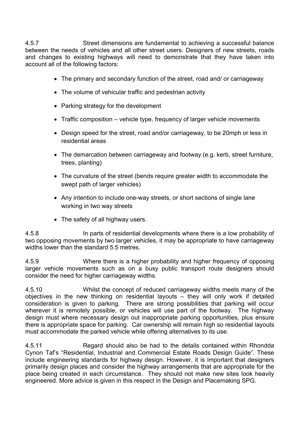4.5.7 Street dimensions are fundamental to achieving a successful balance between the needs of vehicles and all other street users. Designers of new streets, roads and changes to existing highways will need to demonstrate that they have taken into account all of the following factors:

- The primary and secondary function of the street, road and/ or carriageway
- The volume of vehicular traffic and pedestrian activity
- Parking strategy for the development
- Traffic composition vehicle type, frequency of larger vehicle movements
- Design speed for the street, road and/or carriageway, to be 20mph or less in residential areas
- The demarcation between carriageway and footway (e.g. kerb, street furniture, trees, planting)
- The curvature of the street (bends require greater width to accommodate the swept path of larger vehicles)
- Any intention to include one-way streets, or short sections of single lane working in two way streets
- The safety of all highway users.

4.5.8 In parts of residential developments where there is a low probability of two opposing movements by two larger vehicles, it may be appropriate to have carriageway widths lower than the standard 5.5 metres.

4.5.9 Where there is a higher probability and higher frequency of opposing larger vehicle movements such as on a busy public transport route designers should consider the need for higher carriageway widths.

4.5.10 Whilst the concept of reduced carriageway widths meets many of the objectives in the new thinking on residential layouts – they will only work if detailed consideration is given to parking. There are strong possibilities that parking will occur wherever it is remotely possible, or vehicles will use part of the footway. The highway design must where necessary design out inappropriate parking opportunities, plus ensure there is appropriate space for parking. Car ownership will remain high so residential layouts must accommodate the parked vehicle while offering alternatives to its use.

4.5.11 Regard should also be had to the details contained within Rhondda Cynon Taf's "Residential, Industrial and Commercial Estate Roads Design Guide". These include engineering standards for highway design. However, it is important that designers primarily design places and consider the highway arrangements that are appropriate for the place being created in each circumstance. They should not make new sites look heavily engineered. More advice is given in this respect in the Design and Placemaking SPG.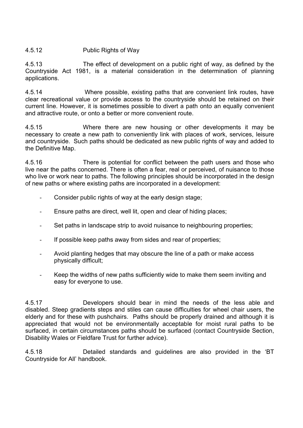### 4.5.12 Public Rights of Way

4.5.13 The effect of development on a public right of way, as defined by the Countryside Act 1981, is a material consideration in the determination of planning applications.

4.5.14 Where possible, existing paths that are convenient link routes, have clear recreational value or provide access to the countryside should be retained on their current line. However, it is sometimes possible to divert a path onto an equally convenient and attractive route, or onto a better or more convenient route.

4.5.15 Where there are new housing or other developments it may be necessary to create a new path to conveniently link with places of work, services, leisure and countryside. Such paths should be dedicated as new public rights of way and added to the Definitive Map.

4.5.16 There is potential for conflict between the path users and those who live near the paths concerned. There is often a fear, real or perceived, of nuisance to those who live or work near to paths. The following principles should be incorporated in the design of new paths or where existing paths are incorporated in a development:

- Consider public rights of way at the early design stage;
- Ensure paths are direct, well lit, open and clear of hiding places;
- Set paths in landscape strip to avoid nuisance to neighbouring properties;
- If possible keep paths away from sides and rear of properties;
- Avoid planting hedges that may obscure the line of a path or make access physically difficult;
- Keep the widths of new paths sufficiently wide to make them seem inviting and easy for everyone to use.

4.5.17 Developers should bear in mind the needs of the less able and disabled. Steep gradients steps and stiles can cause difficulties for wheel chair users, the elderly and for these with pushchairs. Paths should be properly drained and although it is appreciated that would not be environmentally acceptable for moist rural paths to be surfaced, in certain circumstances paths should be surfaced (contact Countryside Section, Disability Wales or Fieldfare Trust for further advice).

4.5.18 Detailed standards and guidelines are also provided in the 'BT Countryside for All' handbook.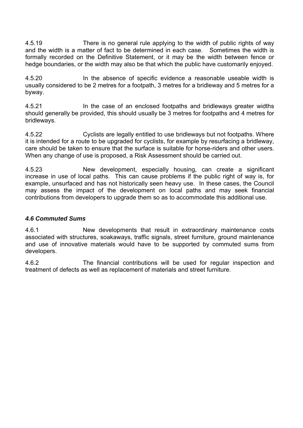4.5.19 There is no general rule applying to the width of public rights of way and the width is a matter of fact to be determined in each case. Sometimes the width is formally recorded on the Definitive Statement, or it may be the width between fence or hedge boundaries, or the width may also be that which the public have customarily enjoyed.

4.5.20 In the absence of specific evidence a reasonable useable width is usually considered to be 2 metres for a footpath, 3 metres for a bridleway and 5 metres for a byway.

4.5.21 In the case of an enclosed footpaths and bridleways greater widths should generally be provided, this should usually be 3 metres for footpaths and 4 metres for bridleways.

4.5.22 Cyclists are legally entitled to use bridleways but not footpaths. Where it is intended for a route to be upgraded for cyclists, for example by resurfacing a bridleway, care should be taken to ensure that the surface is suitable for horse-riders and other users. When any change of use is proposed, a Risk Assessment should be carried out.

4.5.23 New development, especially housing, can create a significant increase in use of local paths. This can cause problems if the public right of way is, for example, unsurfaced and has not historically seen heavy use. In these cases, the Council may assess the impact of the development on local paths and may seek financial contributions from developers to upgrade them so as to accommodate this additional use.

## *4.6 Commuted Sums*

4.6.1 New developments that result in extraordinary maintenance costs associated with structures, soakaways, traffic signals, street furniture, ground maintenance and use of innovative materials would have to be supported by commuted sums from developers.

4.6.2 The financial contributions will be used for regular inspection and treatment of defects as well as replacement of materials and street furniture.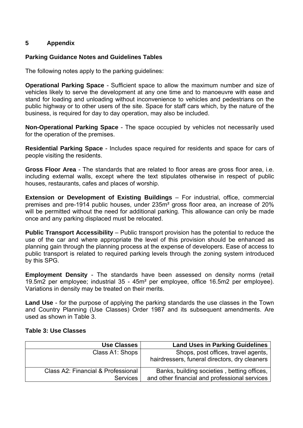### **5 Appendix**

#### **Parking Guidance Notes and Guidelines Tables**

The following notes apply to the parking guidelines:

**Operational Parking Space** - Sufficient space to allow the maximum number and size of vehicles likely to serve the development at any one time and to manoeuvre with ease and stand for loading and unloading without inconvenience to vehicles and pedestrians on the public highway or to other users of the site. Space for staff cars which, by the nature of the business, is required for day to day operation, may also be included.

**Non-Operational Parking Space** - The space occupied by vehicles not necessarily used for the operation of the premises.

**Residential Parking Space** - Includes space required for residents and space for cars of people visiting the residents.

**Gross Floor Area** - The standards that are related to floor areas are gross floor area, i.e. including external walls, except where the text stipulates otherwise in respect of public houses, restaurants, cafes and places of worship.

**Extension or Development of Existing Buildings** – For industrial, office, commercial premises and pre-1914 public houses, under 235m² gross floor area, an increase of 20% will be permitted without the need for additional parking. This allowance can only be made once and any parking displaced must be relocated.

**Public Transport Accessibility** – Public transport provision has the potential to reduce the use of the car and where appropriate the level of this provision should be enhanced as planning gain through the planning process at the expense of developers. Ease of access to public transport is related to required parking levels through the zoning system introduced by this SPG.

**Employment Density** - The standards have been assessed on density norms (retail 19.5m2 per employee; industrial 35 - 45m² per employee, office 16.5m2 per employee). Variations in density may be treated on their merits.

**Land Use** - for the purpose of applying the parking standards the use classes in the Town and Country Planning (Use Classes) Order 1987 and its subsequent amendments. Are used as shown in Table 3.

#### **Table 3: Use Classes**

| <b>Use Classes</b>                 | <b>Land Uses in Parking Guidelines</b>        |  |
|------------------------------------|-----------------------------------------------|--|
| Class A1: Shops                    | Shops, post offices, travel agents,           |  |
|                                    | hairdressers, funeral directors, dry cleaners |  |
| Class A2: Financial & Professional | Banks, building societies, betting offices,   |  |
| <b>Services</b>                    | and other financial and professional services |  |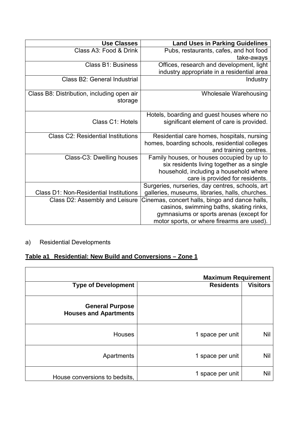| <b>Use Classes</b>                                    | <b>Land Uses in Parking Guidelines</b>          |
|-------------------------------------------------------|-------------------------------------------------|
| Class A3: Food & Drink                                | Pubs, restaurants, cafes, and hot food          |
|                                                       | take-aways                                      |
| <b>Class B1: Business</b>                             | Offices, research and development, light        |
|                                                       | industry appropriate in a residential area      |
| Class B2: General Industrial                          | <b>Industry</b>                                 |
| Class B8: Distribution, including open air<br>storage | <b>Wholesale Warehousing</b>                    |
|                                                       | Hotels, boarding and guest houses where no      |
| Class C1: Hotels                                      | significant element of care is provided.        |
| <b>Class C2: Residential Institutions</b>             | Residential care homes, hospitals, nursing      |
|                                                       | homes, boarding schools, residential colleges   |
|                                                       | and training centres.                           |
| Class-C3: Dwelling houses                             | Family houses, or houses occupied by up to      |
|                                                       | six residents living together as a single       |
|                                                       | household, including a household where          |
|                                                       | care is provided for residents.                 |
|                                                       | Surgeries, nurseries, day centres, schools, art |
| <b>Class D1: Non-Residential Institutions</b>         | galleries, museums, libraries, halls, churches. |
| Class D2: Assembly and Leisure                        | Cinemas, concert halls, bingo and dance halls,  |
|                                                       | casinos, swimming baths, skating rinks,         |
|                                                       | gymnasiums or sports arenas (except for         |
|                                                       | motor sports, or where firearms are used).      |

# a) Residential Developments

# **Table a1 Residential: New Build and Conversions – Zone 1**

| <b>Maximum Requirement</b>                             |                                     |            |
|--------------------------------------------------------|-------------------------------------|------------|
| <b>Type of Development</b>                             | <b>Visitors</b><br><b>Residents</b> |            |
| <b>General Purpose</b><br><b>Houses and Apartments</b> |                                     |            |
| <b>Houses</b>                                          | 1 space per unit                    | Nil        |
| Apartments                                             | 1 space per unit                    | <b>Nil</b> |
| House conversions to bedsits,                          | 1 space per unit                    | Nil        |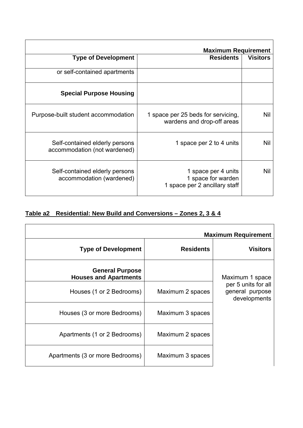|                                                                | <b>Maximum Requirement</b>                                                 |                 |
|----------------------------------------------------------------|----------------------------------------------------------------------------|-----------------|
| <b>Type of Development</b>                                     | <b>Residents</b>                                                           | <b>Visitors</b> |
| or self-contained apartments                                   |                                                                            |                 |
| <b>Special Purpose Housing</b>                                 |                                                                            |                 |
| Purpose-built student accommodation                            | 1 space per 25 beds for servicing,<br>wardens and drop-off areas           | <b>Nil</b>      |
| Self-contained elderly persons<br>accommodation (not wardened) | 1 space per 2 to 4 units                                                   | <b>Nil</b>      |
| Self-contained elderly persons<br>accommodation (wardened)     | 1 space per 4 units<br>1 space for warden<br>1 space per 2 ancillary staff | <b>Nil</b>      |

# **Table a2 Residential: New Build and Conversions – Zones 2, 3 & 4**

|                                                        |                  | <b>Maximum Requirement</b>                             |
|--------------------------------------------------------|------------------|--------------------------------------------------------|
| <b>Type of Development</b>                             | <b>Residents</b> | <b>Visitors</b>                                        |
| <b>General Purpose</b><br><b>Houses and Apartments</b> |                  | Maximum 1 space                                        |
| Houses (1 or 2 Bedrooms)                               | Maximum 2 spaces | per 5 units for all<br>general purpose<br>developments |
| Houses (3 or more Bedrooms)                            | Maximum 3 spaces |                                                        |
| Apartments (1 or 2 Bedrooms)                           | Maximum 2 spaces |                                                        |
| Apartments (3 or more Bedrooms)                        | Maximum 3 spaces |                                                        |

٦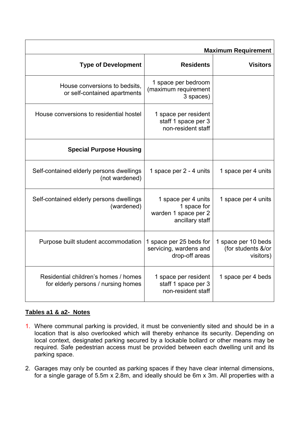| <b>Maximum Requirement</b>                                                  |                                                                               |                                                        |
|-----------------------------------------------------------------------------|-------------------------------------------------------------------------------|--------------------------------------------------------|
| <b>Type of Development</b>                                                  | <b>Residents</b>                                                              | <b>Visitors</b>                                        |
| House conversions to bedsits.<br>or self-contained apartments               | 1 space per bedroom<br>(maximum requirement<br>3 spaces)                      |                                                        |
| House conversions to residential hostel                                     | 1 space per resident<br>staff 1 space per 3<br>non-resident staff             |                                                        |
| <b>Special Purpose Housing</b>                                              |                                                                               |                                                        |
| Self-contained elderly persons dwellings<br>(not wardened)                  | 1 space per 2 - 4 units                                                       | 1 space per 4 units                                    |
| Self-contained elderly persons dwellings<br>(wardened)                      | 1 space per 4 units<br>1 space for<br>warden 1 space per 2<br>ancillary staff | 1 space per 4 units                                    |
| Purpose built student accommodation                                         | 1 space per 25 beds for<br>servicing, wardens and<br>drop-off areas           | 1 space per 10 beds<br>(for students &/or<br>visitors) |
| Residential children's homes / homes<br>for elderly persons / nursing homes | 1 space per resident<br>staff 1 space per 3<br>non-resident staff             | 1 space per 4 beds                                     |

# **Tables a1 & a2- Notes**

- 1. Where communal parking is provided, it must be conveniently sited and should be in a location that is also overlooked which will thereby enhance its security. Depending on local context, designated parking secured by a lockable bollard or other means may be required. Safe pedestrian access must be provided between each dwelling unit and its parking space.
- 2. Garages may only be counted as parking spaces if they have clear internal dimensions, for a single garage of 5.5m x 2.8m, and ideally should be 6m x 3m. All properties with a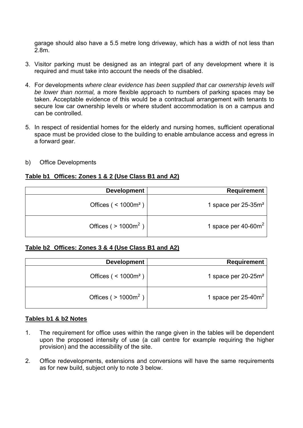garage should also have a 5.5 metre long driveway, which has a width of not less than 2.8m.

- 3. Visitor parking must be designed as an integral part of any development where it is required and must take into account the needs of the disabled.
- 4. For developments *where clear evidence has been supplied that car ownership levels will be lower than normal,* a more flexible approach to numbers of parking spaces may be taken. Acceptable evidence of this would be a contractual arrangement with tenants to secure low car ownership levels or where student accommodation is on a campus and can be controlled.
- 5. In respect of residential homes for the elderly and nursing homes, sufficient operational space must be provided close to the building to enable ambulance access and egress in a forward gear.
- b) Office Developments

# **Table b1 Offices: Zones 1 & 2 (Use Class B1 and A2)**

| <b>Requirement</b>     | <b>Development</b>                     |
|------------------------|----------------------------------------|
| 1 space per $25-35m^2$ | Offices ( $\leq 1000$ m <sup>2</sup> ) |
| 1 space per $40-60m^2$ | Offices ( $> 1000m^2$ )                |

#### **Table b2 Offices: Zones 3 & 4 (Use Class B1 and A2)**

| <b>Requirement</b>     | <b>Development</b>                     |
|------------------------|----------------------------------------|
| 1 space per $20-25m^2$ | Offices ( $\leq 1000$ m <sup>2</sup> ) |
| 1 space per $25-40m^2$ | Offices ( $> 1000m2$ )                 |

#### **Tables b1 & b2 Notes**

- 1. The requirement for office uses within the range given in the tables will be dependent upon the proposed intensity of use (a call centre for example requiring the higher provision) and the accessibility of the site.
- 2. Office redevelopments, extensions and conversions will have the same requirements as for new build, subject only to note 3 below.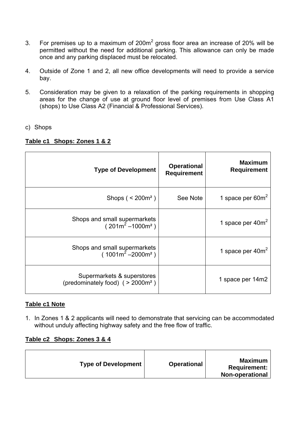- 3. For premises up to a maximum of 200 $m<sup>2</sup>$  gross floor area an increase of 20% will be permitted without the need for additional parking. This allowance can only be made once and any parking displaced must be relocated.
- 4. Outside of Zone 1 and 2, all new office developments will need to provide a service bay.
- 5. Consideration may be given to a relaxation of the parking requirements in shopping areas for the change of use at ground floor level of premises from Use Class A1 (shops) to Use Class A2 (Financial & Professional Services).
- c) Shops

## **Table c1 Shops: Zones 1 & 2**

| <b>Type of Development</b>                                        | <b>Operational</b><br><b>Requirement</b> | <b>Maximum</b><br><b>Requirement</b> |
|-------------------------------------------------------------------|------------------------------------------|--------------------------------------|
| Shops ( $\leq$ 200 $m^2$ )                                        | See Note                                 | 1 space per $60m^2$                  |
| Shops and small supermarkets<br>$(201m^2 - 1000m^2)$              |                                          | 1 space per 40m <sup>2</sup>         |
| Shops and small supermarkets<br>$(1001m^2 - 2000m^2)$             |                                          | 1 space per $40m^2$                  |
| Supermarkets & superstores<br>(predominately food) $( > 2000m2 )$ |                                          | 1 space per 14m2                     |

## **Table c1 Note**

1. In Zones 1 & 2 applicants will need to demonstrate that servicing can be accommodated without unduly affecting highway safety and the free flow of traffic.

#### **Table c2 Shops: Zones 3 & 4**

| <b>Type of Development</b> | Maximum<br><b>Operational</b><br><b>Requirement:</b><br><b>Non-operational</b> |
|----------------------------|--------------------------------------------------------------------------------|
|----------------------------|--------------------------------------------------------------------------------|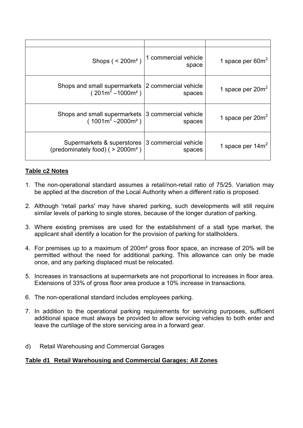| Shops $(200m^2)$                                                                                                                     | 1 commercial vehicle<br>space | 1 space per $60m^2$ |
|--------------------------------------------------------------------------------------------------------------------------------------|-------------------------------|---------------------|
| Shops and small supermarkets $\begin{vmatrix} 2 \text{ commercial vehicle} \\ 201 \text{m}^2 - 1000 \text{m}^2 \end{vmatrix}$ spaces |                               | 1 space per $20m^2$ |
| Shops and small supermarkets $ 3 \text{ commercial vehicle}$<br>(1001m <sup>2</sup> -2000m <sup>2</sup> )                            |                               | 1 space per $20m^2$ |
| Supermarkets & superstores 3 commercial vehicle<br>(predominately food) ( $>$ 2000 $m2$ )                                            | spaces                        | 1 space per $14m2$  |

# **Table c2 Notes**

- 1. The non-operational standard assumes a retail/non-retail ratio of 75/25. Variation may be applied at the discretion of the Local Authority when a different ratio is proposed.
- 2. Although 'retail parks' may have shared parking, such developments will still require similar levels of parking to single stores, because of the longer duration of parking.
- 3. Where existing premises are used for the establishment of a stall type market, the applicant shall identify a location for the provision of parking for stallholders.
- 4. For premises up to a maximum of 200m² gross floor space, an increase of 20% will be permitted without the need for additional parking. This allowance can only be made once, and any parking displaced must be relocated.
- 5. Increases in transactions at supermarkets are not proportional to increases in floor area. Extensions of 33% of gross floor area produce a 10% increase in transactions.
- 6. The non-operational standard includes employees parking.
- 7. In addition to the operational parking requirements for servicing purposes, sufficient additional space must always be provided to allow servicing vehicles to both enter and leave the curtilage of the store servicing area in a forward gear.
- d) Retail Warehousing and Commercial Garages

## **Table d1 Retail Warehousing and Commercial Garages: All Zones**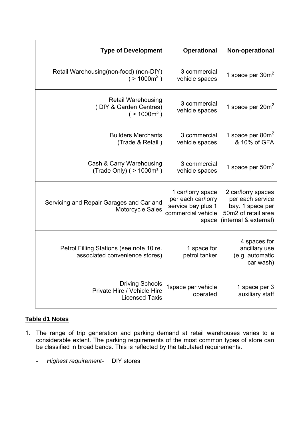| <b>Type of Development</b>                                                      | <b>Operational</b>                                                                           | Non-operational                                                                                            |
|---------------------------------------------------------------------------------|----------------------------------------------------------------------------------------------|------------------------------------------------------------------------------------------------------------|
| Retail Warehousing(non-food) (non-DIY)<br>$( > 1000 \text{m}^2 )$               | 3 commercial<br>vehicle spaces                                                               | 1 space per $30m^2$                                                                                        |
| <b>Retail Warehousing</b><br>(DIY & Garden Centres)<br>( > 1000m <sup>2</sup> ) | 3 commercial<br>vehicle spaces                                                               | 1 space per $20m^2$                                                                                        |
| <b>Builders Merchants</b><br>(Trade & Retail)                                   | 3 commercial<br>vehicle spaces                                                               | 1 space per $80m^2$<br>& 10% of GFA                                                                        |
| Cash & Carry Warehousing<br>(Trade Only) ( $> 1000m^2$ )                        | 3 commercial<br>vehicle spaces                                                               | 1 space per $50m^2$                                                                                        |
| Servicing and Repair Garages and Car and<br><b>Motorcycle Sales</b>             | 1 car/lorry space<br>per each car/lorry<br>service bay plus 1<br>commercial vehicle<br>space | 2 car/lorry spaces<br>per each service<br>bay. 1 space per<br>50m2 of retail area<br>(internal & external) |
| Petrol Filling Stations (see note 10 re.<br>associated convenience stores)      | 1 space for<br>petrol tanker                                                                 | 4 spaces for<br>ancillary use<br>(e.g. automatic<br>car wash)                                              |
| <b>Driving Schools</b><br>Private Hire / Vehicle Hire<br><b>Licensed Taxis</b>  | 1space per vehicle<br>operated                                                               | 1 space per 3<br>auxiliary staff                                                                           |

# **Table d1 Notes**

- 1. The range of trip generation and parking demand at retail warehouses varies to a considerable extent. The parking requirements of the most common types of store can be classified in broad bands. This is reflected by the tabulated requirements.
	- *Highest requirement-* DIY stores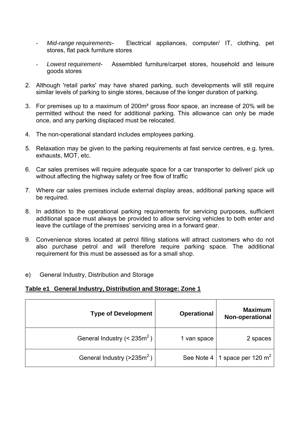- *Mid-range requirements* Electrical appliances, computer/ IT, clothing, pet stores, flat pack furniture stores
- *Lowest requirement* Assembled furniture/carpet stores, household and leisure goods stores
- 2. Although 'retail parks' may have shared parking, such developments will still require similar levels of parking to single stores, because of the longer duration of parking.
- 3. For premises up to a maximum of 200m² gross floor space, an increase of 20% will be permitted without the need for additional parking. This allowance can only be made once, and any parking displaced must be relocated.
- 4. The non-operational standard includes employees parking.
- 5. Relaxation may be given to the parking requirements at fast service centres, e.g. tyres, exhausts, MOT, etc.
- 6. Car sales premises will require adequate space for a car transporter to deliver/ pick up without affecting the highway safety or free flow of traffic
- 7. Where car sales premises include external display areas, additional parking space will be required.
- 8. In addition to the operational parking requirements for servicing purposes, sufficient additional space must always be provided to allow servicing vehicles to both enter and leave the curtilage of the premises' servicing area in a forward gear.
- 9. Convenience stores located at petrol filling stations will attract customers who do not also purchase petrol and will therefore require parking space. The additional requirement for this must be assessed as for a small shop.
- e) General Industry, Distribution and Storage

**Table e1 General Industry, Distribution and Storage: Zone 1**

| <b>Type of Development</b>                 | <b>Operational</b> | <b>Maximum</b><br>Non-operational |
|--------------------------------------------|--------------------|-----------------------------------|
| General Industry ( $<$ 235m <sup>2</sup> ) | 1 van space        | 2 spaces                          |
| General Industry ( $>$ 235m <sup>2</sup> ) | See Note 4         | 1 space per 120 $m2$              |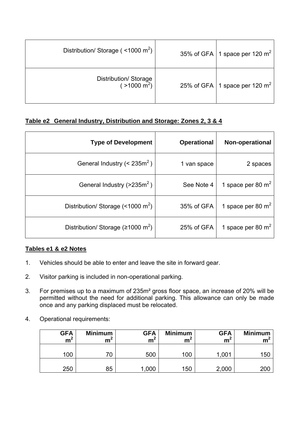| Distribution/ Storage ( $\leq$ 1000 m <sup>2</sup> ) | 35% of GFA   1 space per 120 $m2$  |
|------------------------------------------------------|------------------------------------|
| Distribution/ Storage<br>( $>1000 \text{ m}^2$ )     | 25% of GFA   1 space per 120 $m^2$ |

# **Table e2 General Industry, Distribution and Storage: Zones 2, 3 & 4**

| <b>Type of Development</b>                           | <b>Operational</b> | <b>Non-operational</b> |
|------------------------------------------------------|--------------------|------------------------|
| General Industry ( $<$ 235m <sup>2</sup> )           | 1 van space        | 2 spaces               |
| General Industry $(>235m^2)$                         | See Note 4         | 1 space per 80 $m2$    |
| Distribution/ Storage $($ < 1000 m <sup>2</sup> $)$  | 35% of GFA         | 1 space per 80 $m2$    |
| Distribution/ Storage ( $\geq 1000$ m <sup>2</sup> ) | 25% of GFA         | 1 space per 80 $m2$    |

## **Tables e1 & e2 Notes**

- 1. Vehicles should be able to enter and leave the site in forward gear.
- 2. Visitor parking is included in non-operational parking.
- 3. For premises up to a maximum of 235m² gross floor space, an increase of 20% will be permitted without the need for additional parking. This allowance can only be made once and any parking displaced must be relocated.
- 4. Operational requirements:

| <b>GFA</b><br>m <sup>2</sup> | <b>Minimum</b><br>mʻ | <b>GFA</b><br>m <sup>2</sup> | <b>Minimum</b><br>m۴ | <b>GFA</b><br>m <sup>2</sup> | <b>Minimum</b><br>m |
|------------------------------|----------------------|------------------------------|----------------------|------------------------------|---------------------|
| 100                          | 70                   | 500                          | 100                  | 1,001                        | 150                 |
| 250                          | 85                   | .000                         | 150                  | 2,000                        | <b>200</b>          |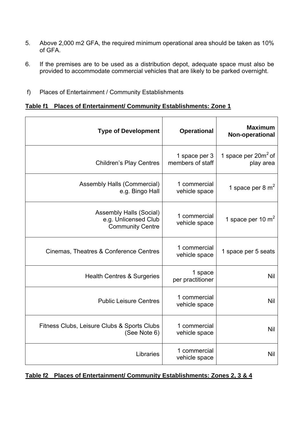- 5. Above 2,000 m2 GFA, the required minimum operational area should be taken as 10% of GFA.
- 6. If the premises are to be used as a distribution depot, adequate space must also be provided to accommodate commercial vehicles that are likely to be parked overnight.
- f) Places of Entertainment / Community Establishments

### **Table f1 Places of Entertainment/ Community Establishments: Zone 1**

| <b>Maximum</b><br>Non-operational   | <b>Operational</b>                | <b>Type of Development</b>                                                        |
|-------------------------------------|-----------------------------------|-----------------------------------------------------------------------------------|
| 1 space per $20m^2$ of<br>play area | 1 space per 3<br>members of staff | <b>Children's Play Centres</b>                                                    |
| 1 space per 8 $m2$                  | 1 commercial<br>vehicle space     | <b>Assembly Halls (Commercial)</b><br>e.g. Bingo Hall                             |
| 1 space per 10 $m2$                 | 1 commercial<br>vehicle space     | <b>Assembly Halls (Social)</b><br>e.g. Unlicensed Club<br><b>Community Centre</b> |
| 1 space per 5 seats                 | 1 commercial<br>vehicle space     | Cinemas, Theatres & Conference Centres                                            |
| <b>Nil</b>                          | 1 space<br>per practitioner       | <b>Health Centres &amp; Surgeries</b>                                             |
| <b>Nil</b>                          | 1 commercial<br>vehicle space     | <b>Public Leisure Centres</b>                                                     |
| <b>Nil</b>                          | 1 commercial<br>vehicle space     | Fitness Clubs, Leisure Clubs & Sports Clubs<br>(See Note 6)                       |
| <b>Nil</b>                          | 1 commercial<br>vehicle space     | Libraries                                                                         |

**Table f2 Places of Entertainment/ Community Establishments: Zones 2, 3 & 4**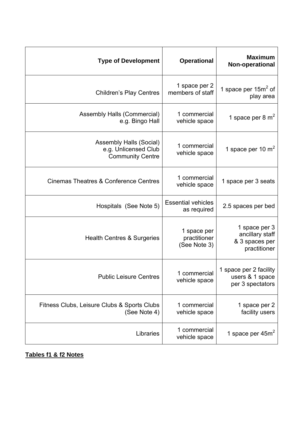| <b>Maximum</b><br>Non-operational                                  | <b>Operational</b>                          | <b>Type of Development</b>                                                        |
|--------------------------------------------------------------------|---------------------------------------------|-----------------------------------------------------------------------------------|
| 1 space per $15m^2$ of<br>play area                                | 1 space per 2<br>members of staff           | <b>Children's Play Centres</b>                                                    |
| 1 space per 8 $m2$                                                 | 1 commercial<br>vehicle space               | <b>Assembly Halls (Commercial)</b><br>e.g. Bingo Hall                             |
| 1 space per 10 $m2$                                                | 1 commercial<br>vehicle space               | <b>Assembly Halls (Social)</b><br>e.g. Unlicensed Club<br><b>Community Centre</b> |
| 1 space per 3 seats                                                | 1 commercial<br>vehicle space               | <b>Cinemas Theatres &amp; Conference Centres</b>                                  |
| 2.5 spaces per bed                                                 | <b>Essential vehicles</b><br>as required    | Hospitals (See Note 5)                                                            |
| 1 space per 3<br>ancillary staff<br>& 3 spaces per<br>practitioner | 1 space per<br>practitioner<br>(See Note 3) | <b>Health Centres &amp; Surgeries</b>                                             |
| 1 space per 2 facility<br>users & 1 space<br>per 3 spectators      | 1 commercial<br>vehicle space               | <b>Public Leisure Centres</b>                                                     |
| 1 space per 2<br>facility users                                    | 1 commercial<br>vehicle space               | Fitness Clubs, Leisure Clubs & Sports Clubs<br>(See Note 4)                       |
| 1 space per $45m2$                                                 | 1 commercial<br>vehicle space               | Libraries                                                                         |

**Tables f1 & f2 Notes**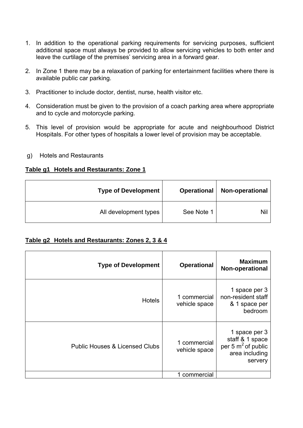- 1. In addition to the operational parking requirements for servicing purposes, sufficient additional space must always be provided to allow servicing vehicles to both enter and leave the curtilage of the premises' servicing area in a forward gear.
- 2. In Zone 1 there may be a relaxation of parking for entertainment facilities where there is available public car parking.
- 3. Practitioner to include doctor, dentist, nurse, health visitor etc.
- 4. Consideration must be given to the provision of a coach parking area where appropriate and to cycle and motorcycle parking.
- 5. This level of provision would be appropriate for acute and neighbourhood District Hospitals. For other types of hospitals a lower level of provision may be acceptable.
- g) Hotels and Restaurants

### **Table g1 Hotels and Restaurants: Zone 1**

| <b>Type of Development</b> | <b>Operational</b> | Non-operational |
|----------------------------|--------------------|-----------------|
| All development types      | See Note 1         | Nil             |

## **Table g2 Hotels and Restaurants: Zones 2, 3 & 4**

| <b>Type of Development</b>                | <b>Operational</b>            | <b>Maximum</b><br>Non-operational                                                      |
|-------------------------------------------|-------------------------------|----------------------------------------------------------------------------------------|
| <b>Hotels</b>                             | 1 commercial<br>vehicle space | 1 space per 3<br>non-resident staff<br>& 1 space per<br>bedroom                        |
| <b>Public Houses &amp; Licensed Clubs</b> | 1 commercial<br>vehicle space | 1 space per 3<br>staff & 1 space<br>per 5 $m^2$ of public<br>area including<br>servery |
|                                           | 1 commercial                  |                                                                                        |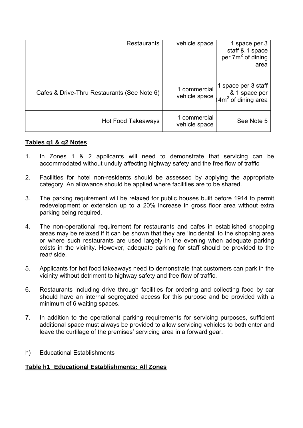| <b>Restaurants</b>                          | vehicle space                 | 1 space per 3<br>staff & 1 space<br>per 7m <sup>2</sup> of dining<br>area |
|---------------------------------------------|-------------------------------|---------------------------------------------------------------------------|
| Cafes & Drive-Thru Restaurants (See Note 6) | 1 commercial<br>vehicle space | 1 space per 3 staff<br>& 1 space per<br>$4m2$ of dining area              |
| Hot Food Takeaways                          | 1 commercial<br>vehicle space | See Note 5                                                                |

## **Tables g1 & g2 Notes**

- 1. In Zones 1 & 2 applicants will need to demonstrate that servicing can be accommodated without unduly affecting highway safety and the free flow of traffic
- 2. Facilities for hotel non-residents should be assessed by applying the appropriate category. An allowance should be applied where facilities are to be shared.
- 3. The parking requirement will be relaxed for public houses built before 1914 to permit redevelopment or extension up to a 20% increase in gross floor area without extra parking being required.
- 4. The non-operational requirement for restaurants and cafes in established shopping areas may be relaxed if it can be shown that they are 'incidental' to the shopping area or where such restaurants are used largely in the evening when adequate parking exists in the vicinity. However, adequate parking for staff should be provided to the rear/ side.
- 5. Applicants for hot food takeaways need to demonstrate that customers can park in the vicinity without detriment to highway safety and free flow of traffic.
- 6. Restaurants including drive through facilities for ordering and collecting food by car should have an internal segregated access for this purpose and be provided with a minimum of 6 waiting spaces.
- 7. In addition to the operational parking requirements for servicing purposes, sufficient additional space must always be provided to allow servicing vehicles to both enter and leave the curtilage of the premises' servicing area in a forward gear.
- h) Educational Establishments

#### **Table h1 Educational Establishments: All Zones**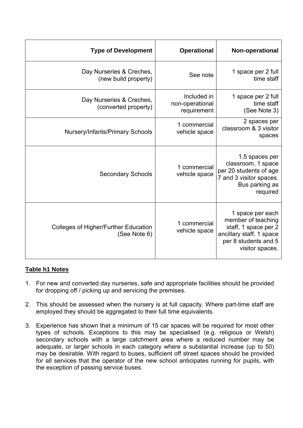| <b>Type of Development</b>                                  | <b>Operational</b>                            | Non-operational                                                                                                                       |
|-------------------------------------------------------------|-----------------------------------------------|---------------------------------------------------------------------------------------------------------------------------------------|
| Day Nurseries & Creches,<br>(new build property)            | See note                                      | 1 space per 2 full<br>time staff                                                                                                      |
| Day Nurseries & Creches,<br>(converted property)            | Included in<br>non-operational<br>requirement | 1 space per 2 full<br>time staff<br>(See Note 3)                                                                                      |
| <b>Nursery/Infants/Primary Schools</b>                      | 1 commercial<br>vehicle space                 | 2 spaces per<br>classroom & 3 visitor<br>spaces                                                                                       |
| <b>Secondary Schools</b>                                    | 1 commercial<br>vehicle space                 | 1.5 spaces per<br>classroom, 1 space<br>per 20 students of age<br>7 and 3 visitor spaces.<br>Bus parking as<br>required               |
| <b>Colleges of Higher/Further Education</b><br>(See Note 6) | 1 commercial<br>vehicle space                 | 1 space per each<br>member of teaching<br>staff, 1 space per 2<br>ancillary staff, 1 space<br>per 8 students and 5<br>visitor spaces. |

# **Table h1 Notes**

- 1. For new and converted day nurseries, safe and appropriate facilities should be provided for dropping off / picking up and servicing the premises.
- 2. This should be assessed when the nursery is at full capacity. Where part-time staff are employed they should be aggregated to their full time equivalents.
- 3. Experience has shown that a minimum of 15 car spaces will be required for most other types of schools. Exceptions to this may be specialised (e.g. religious or Welsh) secondary schools with a large catchment area where a reduced number may be adequate, or larger schools in each category where a substantial increase (up to 50) may be desirable. With regard to buses, sufficient off street spaces should be provided for all services that the operator of the new school anticipates running for pupils, with the exception of passing service buses.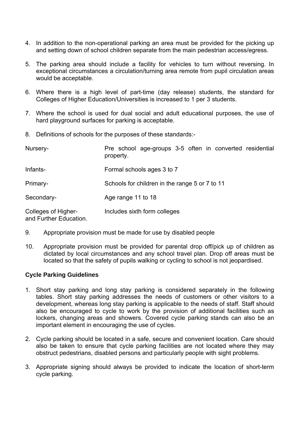- 4. In addition to the non-operational parking an area must be provided for the picking up and setting down of school children separate from the main pedestrian access/egress.
- 5. The parking area should include a facility for vehicles to turn without reversing. In exceptional circumstances a circulation/turning area remote from pupil circulation areas would be acceptable.
- 6. Where there is a high level of part-time (day release) students, the standard for Colleges of Higher Education/Universities is increased to 1 per 3 students.
- 7. Where the school is used for dual social and adult educational purposes, the use of hard playground surfaces for parking is acceptable.
- 8. Definitions of schools for the purposes of these standards:-

| Nursery-                                      | Pre school age-groups 3-5 often in converted residential<br>property. |
|-----------------------------------------------|-----------------------------------------------------------------------|
| Infants-                                      | Formal schools ages 3 to 7                                            |
| Primary-                                      | Schools for children in the range 5 or 7 to 11                        |
| Secondary-                                    | Age range 11 to 18                                                    |
| Colleges of Higher-<br>and Further Education. | Includes sixth form colleges                                          |

- 9. Appropriate provision must be made for use by disabled people
- 10. Appropriate provision must be provided for parental drop off/pick up of children as dictated by local circumstances and any school travel plan. Drop off areas must be located so that the safety of pupils walking or cycling to school is not jeopardised.

#### **Cycle Parking Guidelines**

- 1. Short stay parking and long stay parking is considered separately in the following tables. Short stay parking addresses the needs of customers or other visitors to a development, whereas long stay parking is applicable to the needs of staff. Staff should also be encouraged to cycle to work by the provision of additional facilities such as lockers, changing areas and showers. Covered cycle parking stands can also be an important element in encouraging the use of cycles.
- 2. Cycle parking should be located in a safe, secure and convenient location. Care should also be taken to ensure that cycle parking facilities are not located where they may obstruct pedestrians, disabled persons and particularly people with sight problems.
- 3. Appropriate signing should always be provided to indicate the location of short-term cycle parking.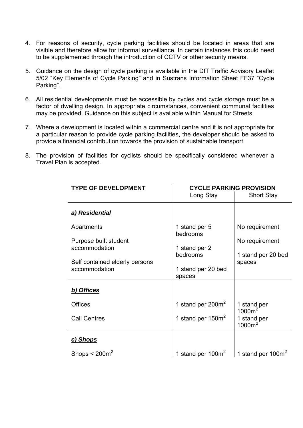- 4. For reasons of security, cycle parking facilities should be located in areas that are visible and therefore allow for informal surveillance. In certain instances this could need to be supplemented through the introduction of CCTV or other security means.
- 5. Guidance on the design of cycle parking is available in the DfT Traffic Advisory Leaflet 5/02 "Key Elements of Cycle Parking" and in Sustrans Information Sheet FF37 "Cycle Parking".
- 6. All residential developments must be accessible by cycles and cycle storage must be a factor of dwelling design. In appropriate circumstances, convenient communal facilities may be provided. Guidance on this subject is available within Manual for Streets.
- 7. Where a development is located within a commercial centre and it is not appropriate for a particular reason to provide cycle parking facilities, the developer should be asked to provide a financial contribution towards the provision of sustainable transport.
- 8. The provision of facilities for cyclists should be specifically considered whenever a Travel Plan is accepted.

| <b>TYPE OF DEVELOPMENT</b>                      | <b>CYCLE PARKING PROVISION</b> |                                   |
|-------------------------------------------------|--------------------------------|-----------------------------------|
|                                                 | Long Stay                      | <b>Short Stay</b>                 |
| a) Residential                                  |                                |                                   |
| Apartments                                      | 1 stand per 5<br>bedrooms      | No requirement                    |
| Purpose built student                           |                                | No requirement                    |
| accommodation                                   | 1 stand per 2                  |                                   |
|                                                 | bedrooms                       | 1 stand per 20 bed                |
| Self contained elderly persons<br>accommodation |                                | spaces                            |
|                                                 | 1 stand per 20 bed<br>spaces   |                                   |
|                                                 |                                |                                   |
| b) Offices                                      |                                |                                   |
| <b>Offices</b>                                  | 1 stand per $200m^2$           | 1 stand per<br>1000m <sup>2</sup> |
| <b>Call Centres</b>                             | 1 stand per $150m^2$           | 1 stand per<br>1000m <sup>2</sup> |
| <u>c) Shops</u>                                 |                                |                                   |
| Shops $\leq 200$ m <sup>2</sup>                 | 1 stand per $100m^2$           | 1 stand per 100m <sup>2</sup>     |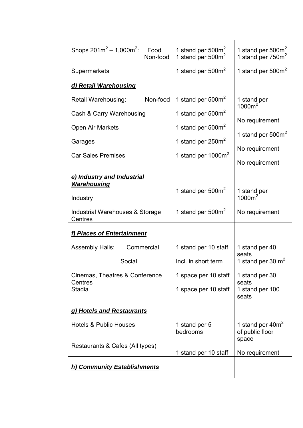| Shops $201m^2 - 1,000m^2$ :<br>Food<br>Non-food              | 1 stand per $500m^2$<br>1 stand per $500m2$ | 1 stand per 500m <sup>2</sup><br>1 stand per 750m <sup>2</sup> |
|--------------------------------------------------------------|---------------------------------------------|----------------------------------------------------------------|
| Supermarkets                                                 | 1 stand per $500m^2$                        | 1 stand per 500m <sup>2</sup>                                  |
| d) Retail Warehousing                                        |                                             |                                                                |
| Non-food<br>Retail Warehousing:                              | 1 stand per $500m^2$                        | 1 stand per<br>1000m <sup>2</sup>                              |
| Cash & Carry Warehousing                                     | 1 stand per $500m^2$                        | No requirement                                                 |
| Open Air Markets                                             | 1 stand per 500m <sup>2</sup>               |                                                                |
| Garages                                                      | 1 stand per $250m^2$                        | 1 stand per $500m2$                                            |
| <b>Car Sales Premises</b>                                    | 1 stand per $1000m^2$                       | No requirement<br>No requirement                               |
| e) Industry and Industrial<br><b>Warehousing</b><br>Industry | 1 stand per $500m^2$                        | 1 stand per<br>1000m <sup>2</sup>                              |
| Industrial Warehouses & Storage<br>Centres                   | 1 stand per $500m^2$                        | No requirement                                                 |
| f) Places of Entertainment                                   |                                             |                                                                |
| Commercial<br><b>Assembly Halls:</b>                         | 1 stand per 10 staff                        | 1 stand per 40<br>seats                                        |
| Social                                                       | Incl. in short term                         | 1 stand per 30 $m2$                                            |
| Cinemas, Theatres & Conference<br>Centres                    | 1 space per 10 staff                        | 1 stand per 30<br>seats                                        |
| <b>Stadia</b>                                                | 1 space per 10 staff                        | 1 stand per 100<br>seats                                       |
| g) Hotels and Restaurants                                    |                                             |                                                                |
| <b>Hotels &amp; Public Houses</b>                            | 1 stand per 5<br>bedrooms                   | 1 stand per $40m^2$<br>of public floor<br>space                |
| Restaurants & Cafes (All types)                              | 1 stand per 10 staff                        | No requirement                                                 |
| h) Community Establishments                                  |                                             |                                                                |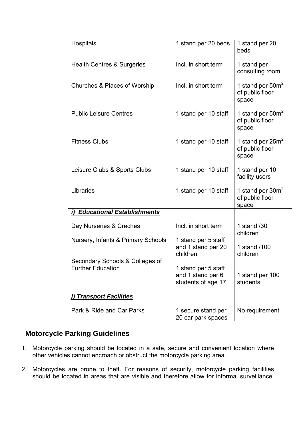| Hospitals                          | 1 stand per 20 beds                                            | 1 stand per 20<br>beds                          |
|------------------------------------|----------------------------------------------------------------|-------------------------------------------------|
| Health Centres & Surgeries         | Incl. in short term                                            | 1 stand per<br>consulting room                  |
| Churches & Places of Worship       | Incl. in short term                                            | 1 stand per $50m^2$<br>of public floor<br>space |
| <b>Public Leisure Centres</b>      | 1 stand per 10 staff                                           | 1 stand per $50m2$<br>of public floor<br>space  |
| <b>Fitness Clubs</b>               | 1 stand per 10 staff                                           | 1 stand per $25m2$<br>of public floor<br>space  |
| Leisure Clubs & Sports Clubs       | 1 stand per 10 staff                                           | 1 stand per 10<br>facility users                |
| Libraries                          | 1 stand per 10 staff                                           | 1 stand per $30m^2$<br>of public floor<br>space |
| i) Educational Establishments      |                                                                |                                                 |
| Day Nurseries & Creches            | Incl. in short term                                            | 1 stand /30<br>children                         |
| Nursery, Infants & Primary Schools | 1 stand per 5 staff<br>and 1 stand per 20<br>children          | 1 stand /100<br>children                        |
| Secondary Schools & Colleges of    |                                                                |                                                 |
| <b>Further Education</b>           | 1 stand per 5 staff<br>and 1 stand per 6<br>students of age 17 | 1 stand per 100<br>students                     |
| j) Transport Facilities            |                                                                |                                                 |
| Park & Ride and Car Parks          | 1 secure stand per<br>20 car park spaces                       | No requirement                                  |

# **Motorcycle Parking Guidelines**

- 1. Motorcycle parking should be located in a safe, secure and convenient location where other vehicles cannot encroach or obstruct the motorcycle parking area.
- 2. Motorcycles are prone to theft. For reasons of security, motorcycle parking facilities should be located in areas that are visible and therefore allow for informal surveillance.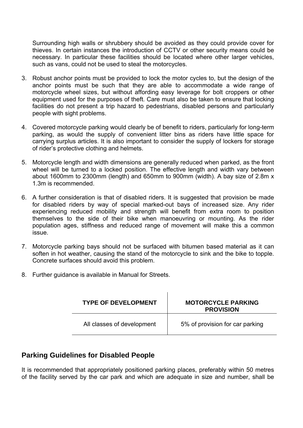Surrounding high walls or shrubbery should be avoided as they could provide cover for thieves. In certain instances the introduction of CCTV or other security means could be necessary. In particular these facilities should be located where other larger vehicles, such as vans, could not be used to steal the motorcycles.

- 3. Robust anchor points must be provided to lock the motor cycles to, but the design of the anchor points must be such that they are able to accommodate a wide range of motorcycle wheel sizes, but without affording easy leverage for bolt croppers or other equipment used for the purposes of theft. Care must also be taken to ensure that locking facilities do not present a trip hazard to pedestrians, disabled persons and particularly people with sight problems.
- 4. Covered motorcycle parking would clearly be of benefit to riders, particularly for long-term parking, as would the supply of convenient litter bins as riders have little space for carrying surplus articles. It is also important to consider the supply of lockers for storage of rider's protective clothing and helmets.
- 5. Motorcycle length and width dimensions are generally reduced when parked, as the front wheel will be turned to a locked position. The effective length and width vary between about 1600mm to 2300mm (length) and 650mm to 900mm (width). A bay size of 2.8m x 1.3m is recommended.
- 6. A further consideration is that of disabled riders. It is suggested that provision be made for disabled riders by way of special marked-out bays of increased size. Any rider experiencing reduced mobility and strength will benefit from extra room to position themselves to the side of their bike when manoeuvring or mounting. As the rider population ages, stiffness and reduced range of movement will make this a common issue.
- 7. Motorcycle parking bays should not be surfaced with bitumen based material as it can soften in hot weather, causing the stand of the motorcycle to sink and the bike to topple. Concrete surfaces should avoid this problem.
- 8. Further guidance is available in Manual for Streets.

| <b>TYPE OF DEVELOPMENT</b> | <b>MOTORCYCLE PARKING</b><br><b>PROVISION</b> |
|----------------------------|-----------------------------------------------|
| All classes of development | 5% of provision for car parking               |

# **Parking Guidelines for Disabled People**

It is recommended that appropriately positioned parking places, preferably within 50 metres of the facility served by the car park and which are adequate in size and number, shall be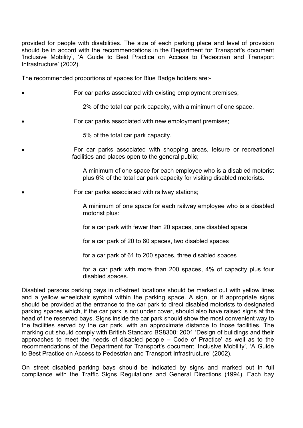provided for people with disabilities. The size of each parking place and level of provision should be in accord with the recommendations in the Department for Transport's document 'Inclusive Mobility', 'A Guide to Best Practice on Access to Pedestrian and Transport Infrastructure' (2002).

The recommended proportions of spaces for Blue Badge holders are:-

For car parks associated with existing employment premises;

2% of the total car park capacity, with a minimum of one space.

For car parks associated with new employment premises;

5% of the total car park capacity.

 For car parks associated with shopping areas, leisure or recreational facilities and places open to the general public;

> A minimum of one space for each employee who is a disabled motorist plus 6% of the total car park capacity for visiting disabled motorists.

For car parks associated with railway stations;

A minimum of one space for each railway employee who is a disabled motorist plus:

for a car park with fewer than 20 spaces, one disabled space

for a car park of 20 to 60 spaces, two disabled spaces

for a car park of 61 to 200 spaces, three disabled spaces

for a car park with more than 200 spaces, 4% of capacity plus four disabled spaces.

Disabled persons parking bays in off-street locations should be marked out with yellow lines and a yellow wheelchair symbol within the parking space. A sign, or if appropriate signs should be provided at the entrance to the car park to direct disabled motorists to designated parking spaces which, if the car park is not under cover, should also have raised signs at the head of the reserved bays. Signs inside the car park should show the most convenient way to the facilities served by the car park, with an approximate distance to those facilities. The marking out should comply with British Standard BS8300: 2001 'Design of buildings and their approaches to meet the needs of disabled people – Code of Practice' as well as to the recommendations of the Department for Transport's document 'Inclusive Mobility', 'A Guide to Best Practice on Access to Pedestrian and Transport Infrastructure' (2002).

On street disabled parking bays should be indicated by signs and marked out in full compliance with the Traffic Signs Regulations and General Directions (1994). Each bay